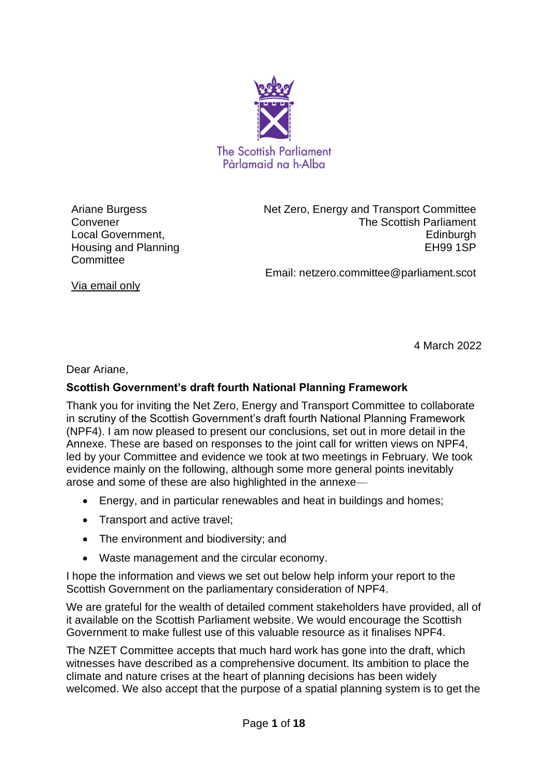

Ariane Burgess Convener Local Government, Housing and Planning **Committee** 

Net Zero, Energy and Transport Committee The Scottish Parliament Edinburgh EH99 1SP

Email: netzero.committee@parliament.scot

Via email only

4 March 2022

Dear Ariane,

## **Scottish Government's draft fourth National Planning Framework**

Thank you for inviting the Net Zero, Energy and Transport Committee to collaborate in scrutiny of the Scottish Government's draft fourth National Planning Framework (NPF4). I am now pleased to present our conclusions, set out in more detail in the Annexe. These are based on responses to the joint call for written views on NPF4, led by your Committee and evidence we took at two meetings in February. We took evidence mainly on the following, although some more general points inevitably arose and some of these are also highlighted in the annexe—

- Energy, and in particular renewables and heat in buildings and homes:
- Transport and active travel;
- The environment and biodiversity; and
- Waste management and the circular economy.

I hope the information and views we set out below help inform your report to the Scottish Government on the parliamentary consideration of NPF4.

We are grateful for the wealth of detailed comment stakeholders have provided, all of it available on the Scottish Parliament website. We would encourage the Scottish Government to make fullest use of this valuable resource as it finalises NPF4.

The NZET Committee accepts that much hard work has gone into the draft, which witnesses have described as a comprehensive document. Its ambition to place the climate and nature crises at the heart of planning decisions has been widely welcomed. We also accept that the purpose of a spatial planning system is to get the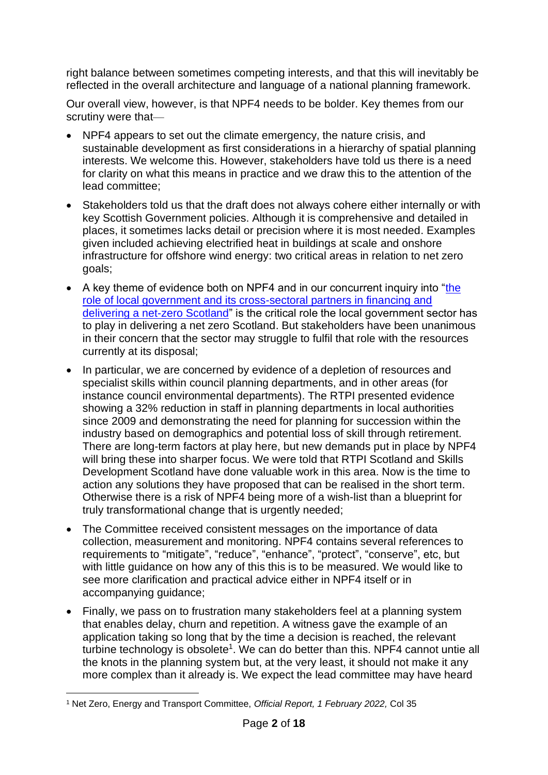right balance between sometimes competing interests, and that this will inevitably be reflected in the overall architecture and language of a national planning framework.

Our overall view, however, is that NPF4 needs to be bolder. Key themes from our scrutiny were that—

- NPF4 appears to set out the climate emergency, the nature crisis, and sustainable development as first considerations in a hierarchy of spatial planning interests. We welcome this. However, stakeholders have told us there is a need for clarity on what this means in practice and we draw this to the attention of the lead committee;
- Stakeholders told us that the draft does not always cohere either internally or with key Scottish Government policies. Although it is comprehensive and detailed in places, it sometimes lacks detail or precision where it is most needed. Examples given included achieving electrified heat in buildings at scale and onshore infrastructure for offshore wind energy: two critical areas in relation to net zero goals;
- A key theme of evidence both on NPF4 and in our concurrent inquiry into ["the](https://www.parliament.scot/chamber-and-committees/committees/current-and-previous-committees/session-6-net-zero-energy-and-transport-committee/business-items/local-govt-role-in-net-zero)  [role of local government and its cross-sectoral partners in financing and](https://www.parliament.scot/chamber-and-committees/committees/current-and-previous-committees/session-6-net-zero-energy-and-transport-committee/business-items/local-govt-role-in-net-zero)  [delivering a net-zero Scotland"](https://www.parliament.scot/chamber-and-committees/committees/current-and-previous-committees/session-6-net-zero-energy-and-transport-committee/business-items/local-govt-role-in-net-zero) is the critical role the local government sector has to play in delivering a net zero Scotland. But stakeholders have been unanimous in their concern that the sector may struggle to fulfil that role with the resources currently at its disposal;
- In particular, we are concerned by evidence of a depletion of resources and specialist skills within council planning departments, and in other areas (for instance council environmental departments). The RTPI presented evidence showing a 32% reduction in staff in planning departments in local authorities since 2009 and demonstrating the need for planning for succession within the industry based on demographics and potential loss of skill through retirement. There are long-term factors at play here, but new demands put in place by NPF4 will bring these into sharper focus. We were told that RTPI Scotland and Skills Development Scotland have done valuable work in this area. Now is the time to action any solutions they have proposed that can be realised in the short term. Otherwise there is a risk of NPF4 being more of a wish-list than a blueprint for truly transformational change that is urgently needed;
- The Committee received consistent messages on the importance of data collection, measurement and monitoring. NPF4 contains several references to requirements to "mitigate", "reduce", "enhance", "protect", "conserve", etc, but with little guidance on how any of this this is to be measured. We would like to see more clarification and practical advice either in NPF4 itself or in accompanying guidance;
- Finally, we pass on to frustration many stakeholders feel at a planning system that enables delay, churn and repetition. A witness gave the example of an application taking so long that by the time a decision is reached, the relevant turbine technology is obsolete<sup>1</sup>. We can do better than this. NPF4 cannot untie all the knots in the planning system but, at the very least, it should not make it any more complex than it already is. We expect the lead committee may have heard

<sup>1</sup> Net Zero, Energy and Transport Committee, *Official Report, 1 February 2022,* Col 35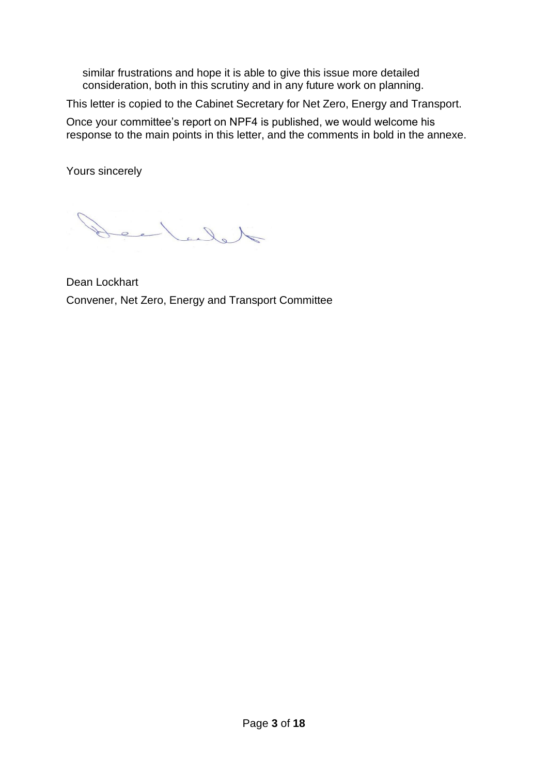similar frustrations and hope it is able to give this issue more detailed consideration, both in this scrutiny and in any future work on planning.

This letter is copied to the Cabinet Secretary for Net Zero, Energy and Transport.

Once your committee's report on NPF4 is published, we would welcome his response to the main points in this letter, and the comments in bold in the annexe.

Yours sincerely

delala

Dean Lockhart Convener, Net Zero, Energy and Transport Committee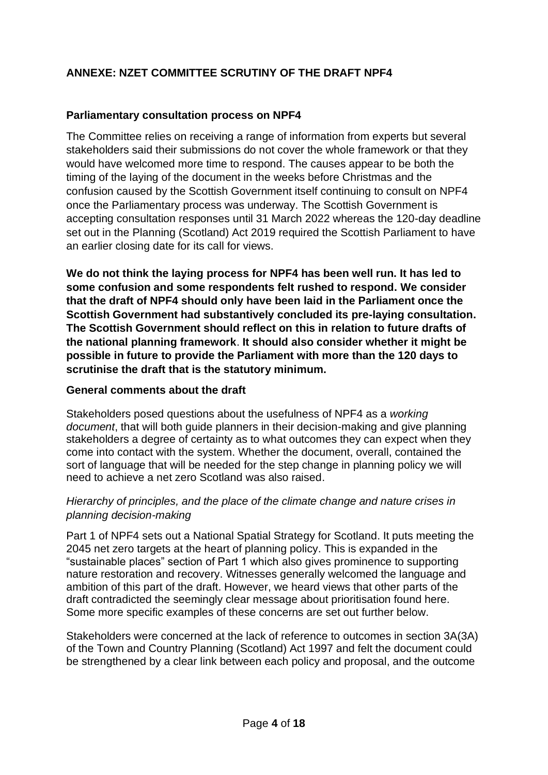# **ANNEXE: NZET COMMITTEE SCRUTINY OF THE DRAFT NPF4**

## **Parliamentary consultation process on NPF4**

The Committee relies on receiving a range of information from experts but several stakeholders said their submissions do not cover the whole framework or that they would have welcomed more time to respond. The causes appear to be both the timing of the laying of the document in the weeks before Christmas and the confusion caused by the Scottish Government itself continuing to consult on NPF4 once the Parliamentary process was underway. The Scottish Government is accepting consultation responses until 31 March 2022 whereas the 120-day deadline set out in the Planning (Scotland) Act 2019 required the Scottish Parliament to have an earlier closing date for its call for views.

**We do not think the laying process for NPF4 has been well run. It has led to some confusion and some respondents felt rushed to respond. We consider that the draft of NPF4 should only have been laid in the Parliament once the Scottish Government had substantively concluded its pre-laying consultation. The Scottish Government should reflect on this in relation to future drafts of the national planning framework**. **It should also consider whether it might be possible in future to provide the Parliament with more than the 120 days to scrutinise the draft that is the statutory minimum.**

### **General comments about the draft**

Stakeholders posed questions about the usefulness of NPF4 as a *working document*, that will both guide planners in their decision-making and give planning stakeholders a degree of certainty as to what outcomes they can expect when they come into contact with the system. Whether the document, overall, contained the sort of language that will be needed for the step change in planning policy we will need to achieve a net zero Scotland was also raised.

### *Hierarchy of principles, and the place of the climate change and nature crises in planning decision-making*

Part 1 of NPF4 sets out a National Spatial Strategy for Scotland. It puts meeting the 2045 net zero targets at the heart of planning policy. This is expanded in the "sustainable places" section of Part 1 which also gives prominence to supporting nature restoration and recovery. Witnesses generally welcomed the language and ambition of this part of the draft. However, we heard views that other parts of the draft contradicted the seemingly clear message about prioritisation found here. Some more specific examples of these concerns are set out further below.

Stakeholders were concerned at the lack of reference to outcomes in section 3A(3A) of the Town and Country Planning (Scotland) Act 1997 and felt the document could be strengthened by a clear link between each policy and proposal, and the outcome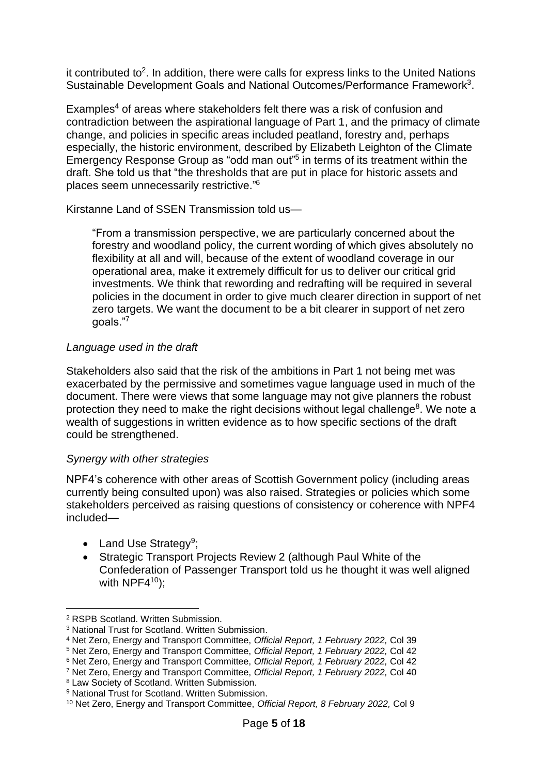it contributed to<sup>2</sup>. In addition, there were calls for express links to the United Nations Sustainable Development Goals and National Outcomes/Performance Framework<sup>3</sup>.

Examples<sup>4</sup> of areas where stakeholders felt there was a risk of confusion and contradiction between the aspirational language of Part 1, and the primacy of climate change, and policies in specific areas included peatland, forestry and, perhaps especially, the historic environment, described by Elizabeth Leighton of the Climate Emergency Response Group as "odd man out"<sup>5</sup> in terms of its treatment within the draft. She told us that "the thresholds that are put in place for historic assets and places seem unnecessarily restrictive." 6

Kirstanne Land of SSEN Transmission told us—

"From a transmission perspective, we are particularly concerned about the forestry and woodland policy, the current wording of which gives absolutely no flexibility at all and will, because of the extent of woodland coverage in our operational area, make it extremely difficult for us to deliver our critical grid investments. We think that rewording and redrafting will be required in several policies in the document in order to give much clearer direction in support of net zero targets. We want the document to be a bit clearer in support of net zero goals."<sup>7</sup>

### *Language used in the draft*

Stakeholders also said that the risk of the ambitions in Part 1 not being met was exacerbated by the permissive and sometimes vague language used in much of the document. There were views that some language may not give planners the robust protection they need to make the right decisions without legal challenge<sup>8</sup>. We note a wealth of suggestions in written evidence as to how specific sections of the draft could be strengthened.

### *Synergy with other strategies*

NPF4's coherence with other areas of Scottish Government policy (including areas currently being consulted upon) was also raised. Strategies or policies which some stakeholders perceived as raising questions of consistency or coherence with NPF4 included—

- Land Use Strategy<sup>9</sup>;
- Strategic Transport Projects Review 2 (although Paul White of the Confederation of Passenger Transport told us he thought it was well aligned with  $NPF4^{10}$ :

<sup>8</sup> Law Society of Scotland. Written Submission.

<sup>2</sup> RSPB Scotland. Written Submission.

<sup>3</sup> National Trust for Scotland. Written Submission.

<sup>4</sup> Net Zero, Energy and Transport Committee, *Official Report, 1 February 2022,* Col 39

<sup>5</sup> Net Zero, Energy and Transport Committee, *Official Report, 1 February 2022,* Col 42

<sup>6</sup> Net Zero, Energy and Transport Committee, *Official Report, 1 February 2022,* Col 42

<sup>7</sup> Net Zero, Energy and Transport Committee, *Official Report, 1 February 2022,* Col 40

<sup>&</sup>lt;sup>9</sup> National Trust for Scotland. Written Submission.

<sup>10</sup> Net Zero, Energy and Transport Committee, *Official Report, 8 February 2022,* Col 9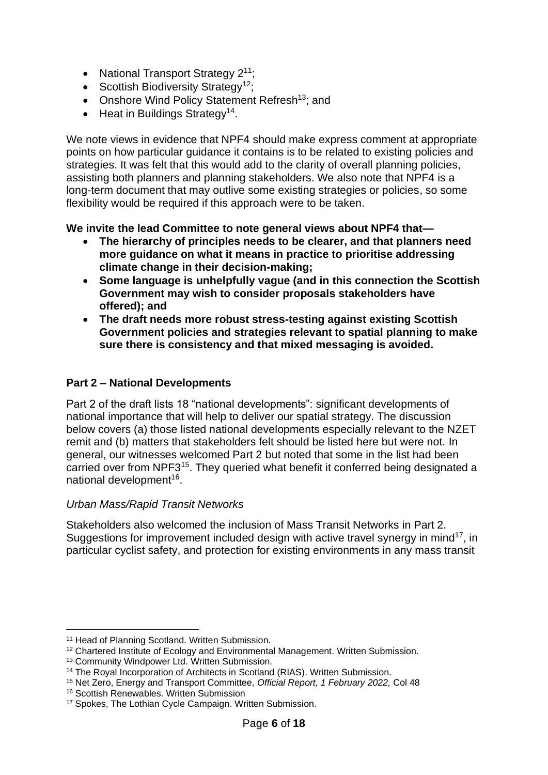- National Transport Strategy  $2^{11}$ ;
- Scottish Biodiversity Strategy<sup>12</sup>;
- Onshore Wind Policy Statement Refresh<sup>13</sup>; and
- $\bullet$  Heat in Buildings Strategy<sup>14</sup>.

We note views in evidence that NPF4 should make express comment at appropriate points on how particular guidance it contains is to be related to existing policies and strategies. It was felt that this would add to the clarity of overall planning policies, assisting both planners and planning stakeholders. We also note that NPF4 is a long-term document that may outlive some existing strategies or policies, so some flexibility would be required if this approach were to be taken.

## **We invite the lead Committee to note general views about NPF4 that—**

- **The hierarchy of principles needs to be clearer, and that planners need more guidance on what it means in practice to prioritise addressing climate change in their decision-making;**
- **Some language is unhelpfully vague (and in this connection the Scottish Government may wish to consider proposals stakeholders have offered); and**
- **The draft needs more robust stress-testing against existing Scottish Government policies and strategies relevant to spatial planning to make sure there is consistency and that mixed messaging is avoided.**

## **Part 2 – National Developments**

Part 2 of the draft lists 18 "national developments": significant developments of national importance that will help to deliver our spatial strategy. The discussion below covers (a) those listed national developments especially relevant to the NZET remit and (b) matters that stakeholders felt should be listed here but were not. In general, our witnesses welcomed Part 2 but noted that some in the list had been carried over from NPF3<sup>15</sup>. They queried what benefit it conferred being designated a national development<sup>16</sup>.

## *Urban Mass/Rapid Transit Networks*

Stakeholders also welcomed the inclusion of Mass Transit Networks in Part 2. Suggestions for improvement included design with active travel synergy in mind<sup>17</sup>, in particular cyclist safety, and protection for existing environments in any mass transit

<sup>&</sup>lt;sup>11</sup> Head of Planning Scotland. Written Submission.

<sup>12</sup> Chartered Institute of Ecology and Environmental Management. Written Submission.

<sup>13</sup> Community Windpower Ltd. Written Submission.

<sup>&</sup>lt;sup>14</sup> The Royal Incorporation of Architects in Scotland (RIAS). Written Submission.

<sup>15</sup> Net Zero, Energy and Transport Committee, *Official Report, 1 February 2022,* Col 48

<sup>16</sup> Scottish Renewables. Written Submission

<sup>17</sup> Spokes, The Lothian Cycle Campaign. Written Submission.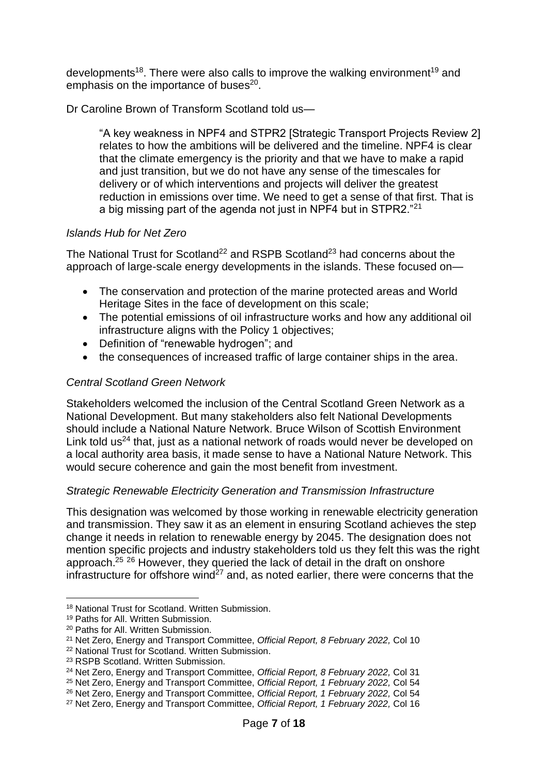developments<sup>18</sup>. There were also calls to improve the walking environment<sup>19</sup> and emphasis on the importance of buses<sup>20</sup>.

Dr Caroline Brown of Transform Scotland told us—

"A key weakness in NPF4 and STPR2 [Strategic Transport Projects Review 2] relates to how the ambitions will be delivered and the timeline. NPF4 is clear that the climate emergency is the priority and that we have to make a rapid and just transition, but we do not have any sense of the timescales for delivery or of which interventions and projects will deliver the greatest reduction in emissions over time. We need to get a sense of that first. That is a big missing part of the agenda not just in NPF4 but in STPR2."<sup>21</sup>

## *Islands Hub for Net Zero*

The National Trust for Scotland<sup>22</sup> and RSPB Scotland<sup>23</sup> had concerns about the approach of large-scale energy developments in the islands. These focused on—

- The conservation and protection of the marine protected areas and World Heritage Sites in the face of development on this scale;
- The potential emissions of oil infrastructure works and how any additional oil infrastructure aligns with the Policy 1 objectives;
- Definition of "renewable hydrogen"; and
- the consequences of increased traffic of large container ships in the area.

## *Central Scotland Green Network*

Stakeholders welcomed the inclusion of the Central Scotland Green Network as a National Development. But many stakeholders also felt National Developments should include a National Nature Network. Bruce Wilson of Scottish Environment Link told us<sup>24</sup> that, just as a national network of roads would never be developed on a local authority area basis, it made sense to have a National Nature Network. This would secure coherence and gain the most benefit from investment.

## *Strategic Renewable Electricity Generation and Transmission Infrastructure*

This designation was welcomed by those working in renewable electricity generation and transmission. They saw it as an element in ensuring Scotland achieves the step change it needs in relation to renewable energy by 2045. The designation does not mention specific projects and industry stakeholders told us they felt this was the right approach.<sup>25</sup> <sup>26</sup> However, they queried the lack of detail in the draft on onshore infrastructure for offshore wind<sup> $27$ </sup> and, as noted earlier, there were concerns that the

<sup>18</sup> National Trust for Scotland. Written Submission.

<sup>19</sup> Paths for All. Written Submission.

<sup>20</sup> Paths for All. Written Submission.

<sup>21</sup> Net Zero, Energy and Transport Committee, *Official Report, 8 February 2022,* Col 10

<sup>22</sup> National Trust for Scotland. Written Submission.

<sup>23</sup> RSPB Scotland. Written Submission.

<sup>24</sup> Net Zero, Energy and Transport Committee, *Official Report, 8 February 2022,* Col 31

<sup>25</sup> Net Zero, Energy and Transport Committee, *Official Report, 1 February 2022,* Col 54

<sup>26</sup> Net Zero, Energy and Transport Committee, *Official Report, 1 February 2022,* Col 54

<sup>27</sup> Net Zero, Energy and Transport Committee, *Official Report, 1 February 2022,* Col 16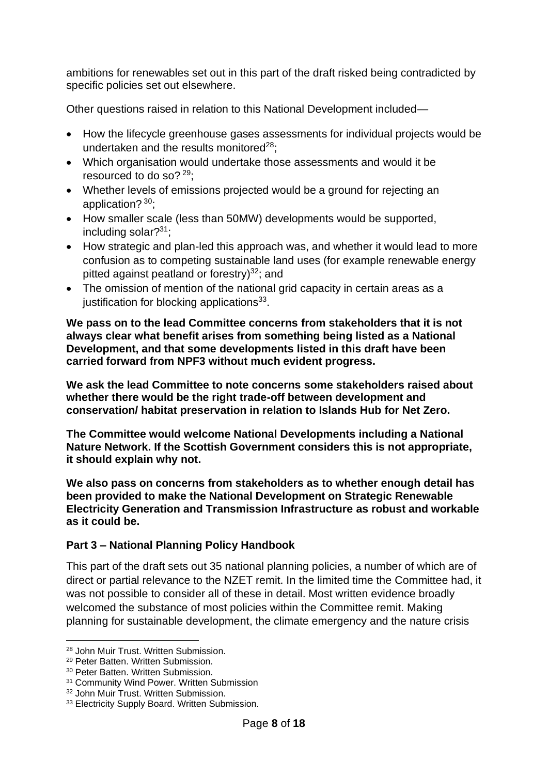ambitions for renewables set out in this part of the draft risked being contradicted by specific policies set out elsewhere.

Other questions raised in relation to this National Development included—

- How the lifecycle greenhouse gases assessments for individual projects would be undertaken and the results monitored $28$ :
- Which organisation would undertake those assessments and would it be resourced to do so?  $29$ ;
- Whether levels of emissions projected would be a ground for rejecting an application? 30;
- How smaller scale (less than 50MW) developments would be supported, including solar?<sup>31</sup>;
- How strategic and plan-led this approach was, and whether it would lead to more confusion as to competing sustainable land uses (for example renewable energy pitted against peatland or forestry) $^{32}$ ; and
- The omission of mention of the national grid capacity in certain areas as a justification for blocking applications<sup>33</sup>.

**We pass on to the lead Committee concerns from stakeholders that it is not always clear what benefit arises from something being listed as a National Development, and that some developments listed in this draft have been carried forward from NPF3 without much evident progress.** 

**We ask the lead Committee to note concerns some stakeholders raised about whether there would be the right trade-off between development and conservation/ habitat preservation in relation to Islands Hub for Net Zero.** 

**The Committee would welcome National Developments including a National Nature Network. If the Scottish Government considers this is not appropriate, it should explain why not.**

**We also pass on concerns from stakeholders as to whether enough detail has been provided to make the National Development on Strategic Renewable Electricity Generation and Transmission Infrastructure as robust and workable as it could be.** 

## **Part 3 – National Planning Policy Handbook**

This part of the draft sets out 35 national planning policies, a number of which are of direct or partial relevance to the NZET remit. In the limited time the Committee had, it was not possible to consider all of these in detail. Most written evidence broadly welcomed the substance of most policies within the Committee remit. Making planning for sustainable development, the climate emergency and the nature crisis

<sup>28</sup> John Muir Trust. Written Submission.

<sup>29</sup> Peter Batten. Written Submission.

<sup>30</sup> Peter Batten. Written Submission.

<sup>&</sup>lt;sup>31</sup> Community Wind Power. Written Submission

<sup>32</sup> John Muir Trust. Written Submission.

<sup>33</sup> Electricity Supply Board. Written Submission.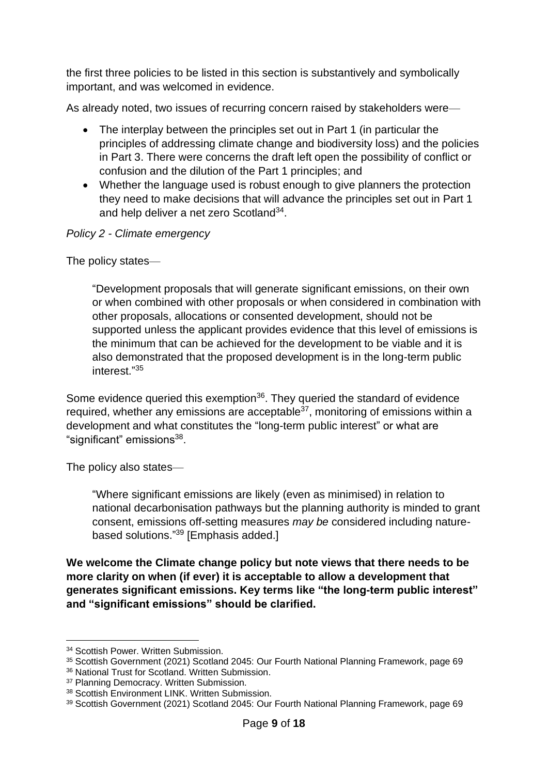the first three policies to be listed in this section is substantively and symbolically important, and was welcomed in evidence.

As already noted, two issues of recurring concern raised by stakeholders were—

- The interplay between the principles set out in Part 1 (in particular the principles of addressing climate change and biodiversity loss) and the policies in Part 3. There were concerns the draft left open the possibility of conflict or confusion and the dilution of the Part 1 principles; and
- Whether the language used is robust enough to give planners the protection they need to make decisions that will advance the principles set out in Part 1 and help deliver a net zero Scotland<sup>34</sup>.

## *Policy 2 - Climate emergency*

The policy states—

"Development proposals that will generate significant emissions, on their own or when combined with other proposals or when considered in combination with other proposals, allocations or consented development, should not be supported unless the applicant provides evidence that this level of emissions is the minimum that can be achieved for the development to be viable and it is also demonstrated that the proposed development is in the long-term public interest." 35

Some evidence queried this exemption<sup>36</sup>. They queried the standard of evidence required, whether any emissions are acceptable $37$ , monitoring of emissions within a development and what constitutes the "long-term public interest" or what are "significant" emissions<sup>38</sup>.

The policy also states—

"Where significant emissions are likely (even as minimised) in relation to national decarbonisation pathways but the planning authority is minded to grant consent, emissions off-setting measures *may be* considered including naturebased solutions." <sup>39</sup> [Emphasis added.]

**We welcome the Climate change policy but note views that there needs to be more clarity on when (if ever) it is acceptable to allow a development that generates significant emissions. Key terms like "the long-term public interest" and "significant emissions" should be clarified.** 

<sup>34</sup> Scottish Power. Written Submission.

<sup>35</sup> Scottish Government (2021) Scotland 2045: Our Fourth National Planning Framework, page 69

<sup>36</sup> National Trust for Scotland. Written Submission.

<sup>37</sup> Planning Democracy. Written Submission.

<sup>38</sup> Scottish Environment LINK. Written Submission.

<sup>39</sup> Scottish Government (2021) Scotland 2045: Our Fourth National Planning Framework, page 69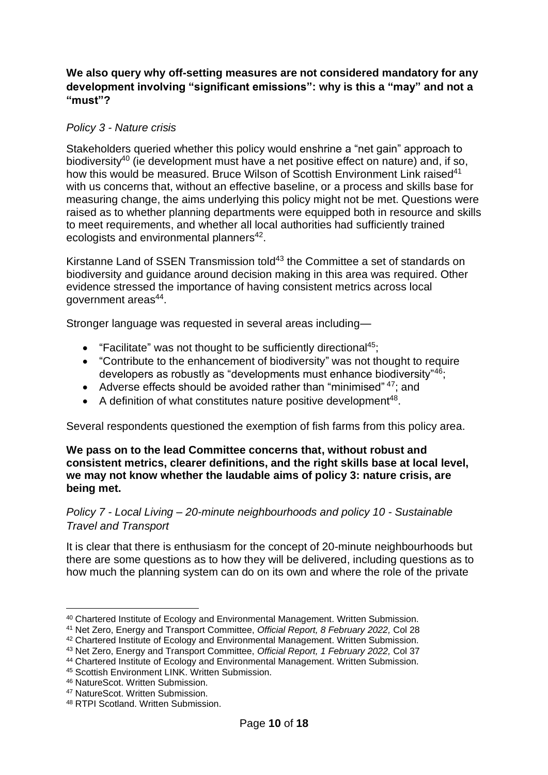## **We also query why off-setting measures are not considered mandatory for any development involving "significant emissions": why is this a "may" and not a "must"?**

### *Policy 3 - Nature crisis*

Stakeholders queried whether this policy would enshrine a "net gain" approach to biodiversity<sup>40</sup> (ie development must have a net positive effect on nature) and, if so, how this would be measured. Bruce Wilson of Scottish Environment Link raised<sup>41</sup> with us concerns that, without an effective baseline, or a process and skills base for measuring change, the aims underlying this policy might not be met. Questions were raised as to whether planning departments were equipped both in resource and skills to meet requirements, and whether all local authorities had sufficiently trained ecologists and environmental planners<sup>42</sup>.

Kirstanne Land of SSEN Transmission told<sup>43</sup> the Committee a set of standards on biodiversity and guidance around decision making in this area was required. Other evidence stressed the importance of having consistent metrics across local government areas<sup>44</sup>.

Stronger language was requested in several areas including—

- "Facilitate" was not thought to be sufficiently directional<sup>45</sup>:
- "Contribute to the enhancement of biodiversity" was not thought to require developers as robustly as "developments must enhance biodiversity"<sup>46</sup>;
- Adverse effects should be avoided rather than "minimised"  $47$ ; and
- $\bullet$  A definition of what constitutes nature positive development<sup>48</sup>.

Several respondents questioned the exemption of fish farms from this policy area.

**We pass on to the lead Committee concerns that, without robust and consistent metrics, clearer definitions, and the right skills base at local level, we may not know whether the laudable aims of policy 3: nature crisis, are being met.**

*Policy 7 - Local Living – 20-minute neighbourhoods and policy 10 - Sustainable Travel and Transport*

It is clear that there is enthusiasm for the concept of 20-minute neighbourhoods but there are some questions as to how they will be delivered, including questions as to how much the planning system can do on its own and where the role of the private

<sup>40</sup> Chartered Institute of Ecology and Environmental Management. Written Submission.

<sup>41</sup> Net Zero, Energy and Transport Committee, *Official Report, 8 February 2022,* Col 28

<sup>42</sup> Chartered Institute of Ecology and Environmental Management. Written Submission.

<sup>43</sup> Net Zero, Energy and Transport Committee, *Official Report, 1 February 2022,* Col 37

<sup>44</sup> Chartered Institute of Ecology and Environmental Management. Written Submission.

<sup>45</sup> Scottish Environment LINK. Written Submission.

<sup>46</sup> NatureScot. Written Submission.

<sup>47</sup> NatureScot. Written Submission.

<sup>48</sup> RTPI Scotland. Written Submission.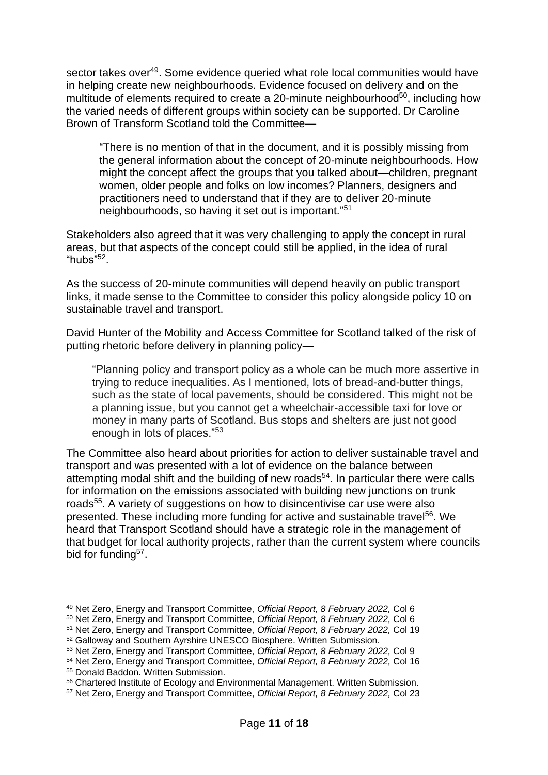sector takes over<sup>49</sup>. Some evidence queried what role local communities would have in helping create new neighbourhoods. Evidence focused on delivery and on the multitude of elements required to create a 20-minute neighbourhood $50$ , including how the varied needs of different groups within society can be supported. Dr Caroline Brown of Transform Scotland told the Committee—

"There is no mention of that in the document, and it is possibly missing from the general information about the concept of 20-minute neighbourhoods. How might the concept affect the groups that you talked about—children, pregnant women, older people and folks on low incomes? Planners, designers and practitioners need to understand that if they are to deliver 20-minute neighbourhoods, so having it set out is important." 51

Stakeholders also agreed that it was very challenging to apply the concept in rural areas, but that aspects of the concept could still be applied, in the idea of rural "hubs"<sup>52</sup> .

As the success of 20-minute communities will depend heavily on public transport links, it made sense to the Committee to consider this policy alongside policy 10 on sustainable travel and transport.

David Hunter of the Mobility and Access Committee for Scotland talked of the risk of putting rhetoric before delivery in planning policy—

"Planning policy and transport policy as a whole can be much more assertive in trying to reduce inequalities. As I mentioned, lots of bread-and-butter things, such as the state of local pavements, should be considered. This might not be a planning issue, but you cannot get a wheelchair-accessible taxi for love or money in many parts of Scotland. Bus stops and shelters are just not good enough in lots of places."<sup>53</sup>

The Committee also heard about priorities for action to deliver sustainable travel and transport and was presented with a lot of evidence on the balance between attempting modal shift and the building of new roads<sup>54</sup>. In particular there were calls for information on the emissions associated with building new junctions on trunk roads<sup>55</sup>. A variety of suggestions on how to disincentivise car use were also presented. These including more funding for active and sustainable travel<sup>56</sup>. We heard that Transport Scotland should have a strategic role in the management of that budget for local authority projects, rather than the current system where councils bid for funding<sup>57</sup>.

<sup>49</sup> Net Zero, Energy and Transport Committee, *Official Report, 8 February 2022,* Col 6

<sup>50</sup> Net Zero, Energy and Transport Committee, *Official Report, 8 February 2022,* Col 6

<sup>51</sup> Net Zero, Energy and Transport Committee, *Official Report, 8 February 2022,* Col 19

<sup>52</sup> Galloway and Southern Ayrshire UNESCO Biosphere. Written Submission.

<sup>53</sup> Net Zero, Energy and Transport Committee, *Official Report, 8 February 2022,* Col 9

<sup>54</sup> Net Zero, Energy and Transport Committee, *Official Report, 8 February 2022,* Col 16

<sup>55</sup> Donald Baddon. Written Submission.

<sup>56</sup> Chartered Institute of Ecology and Environmental Management. Written Submission.

<sup>57</sup> Net Zero, Energy and Transport Committee, *Official Report, 8 February 2022,* Col 23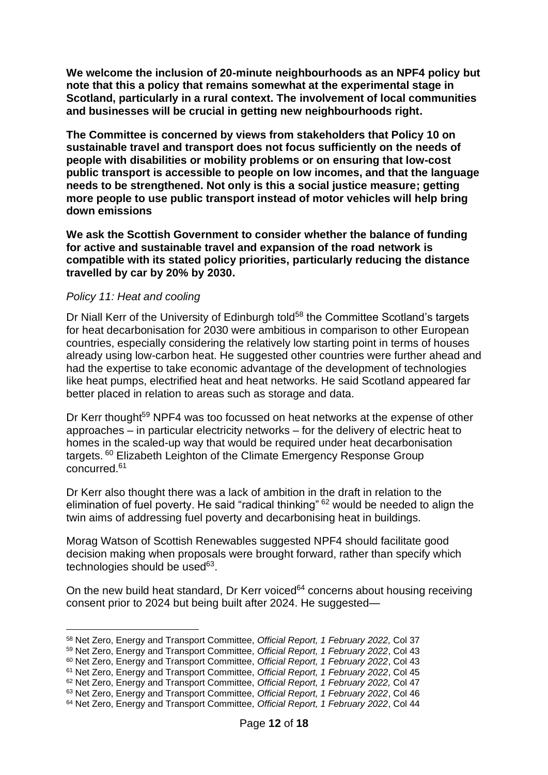**We welcome the inclusion of 20-minute neighbourhoods as an NPF4 policy but note that this a policy that remains somewhat at the experimental stage in Scotland, particularly in a rural context. The involvement of local communities and businesses will be crucial in getting new neighbourhoods right.** 

**The Committee is concerned by views from stakeholders that Policy 10 on sustainable travel and transport does not focus sufficiently on the needs of people with disabilities or mobility problems or on ensuring that low-cost public transport is accessible to people on low incomes, and that the language needs to be strengthened. Not only is this a social justice measure; getting more people to use public transport instead of motor vehicles will help bring down emissions**

**We ask the Scottish Government to consider whether the balance of funding for active and sustainable travel and expansion of the road network is compatible with its stated policy priorities, particularly reducing the distance travelled by car by 20% by 2030.**

### *Policy 11: Heat and cooling*

Dr Niall Kerr of the University of Edinburgh told<sup>58</sup> the Committee Scotland's targets for heat decarbonisation for 2030 were ambitious in comparison to other European countries, especially considering the relatively low starting point in terms of houses already using low-carbon heat. He suggested other countries were further ahead and had the expertise to take economic advantage of the development of technologies like heat pumps, electrified heat and heat networks. He said Scotland appeared far better placed in relation to areas such as storage and data.

Dr Kerr thought<sup>59</sup> NPF4 was too focussed on heat networks at the expense of other approaches – in particular electricity networks – for the delivery of electric heat to homes in the scaled-up way that would be required under heat decarbonisation targets. <sup>60</sup> Elizabeth Leighton of the Climate Emergency Response Group concurred. 61

Dr Kerr also thought there was a lack of ambition in the draft in relation to the elimination of fuel poverty. He said "radical thinking" <sup>62</sup> would be needed to align the twin aims of addressing fuel poverty and decarbonising heat in buildings.

Morag Watson of Scottish Renewables suggested NPF4 should facilitate good decision making when proposals were brought forward, rather than specify which technologies should be used<sup>63</sup>.

On the new build heat standard, Dr Kerr voiced $64$  concerns about housing receiving consent prior to 2024 but being built after 2024. He suggested—

<sup>58</sup> Net Zero, Energy and Transport Committee, *Official Report, 1 February 2022,* Col 37

<sup>59</sup> Net Zero, Energy and Transport Committee, *Official Report, 1 February 2022*, Col 43

<sup>60</sup> Net Zero, Energy and Transport Committee, *Official Report, 1 February 2022*, Col 43

<sup>61</sup> Net Zero, Energy and Transport Committee, *Official Report, 1 February 2022*, Col 45

<sup>62</sup> Net Zero, Energy and Transport Committee, *Official Report, 1 February 2022,* Col 47

<sup>63</sup> Net Zero, Energy and Transport Committee, *Official Report, 1 February 2022*, Col 46 <sup>64</sup> Net Zero, Energy and Transport Committee, *Official Report, 1 February 2022*, Col 44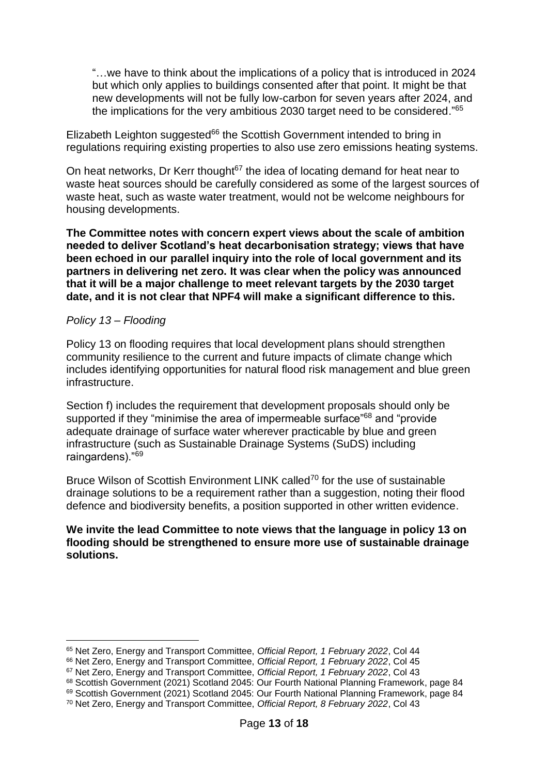"…we have to think about the implications of a policy that is introduced in 2024 but which only applies to buildings consented after that point. It might be that new developments will not be fully low-carbon for seven years after 2024, and the implications for the very ambitious 2030 target need to be considered."<sup>65</sup>

Elizabeth Leighton suggested<sup>66</sup> the Scottish Government intended to bring in regulations requiring existing properties to also use zero emissions heating systems.

On heat networks, Dr Kerr thought $67$  the idea of locating demand for heat near to waste heat sources should be carefully considered as some of the largest sources of waste heat, such as waste water treatment, would not be welcome neighbours for housing developments.

**The Committee notes with concern expert views about the scale of ambition needed to deliver Scotland's heat decarbonisation strategy; views that have been echoed in our parallel inquiry into the role of local government and its partners in delivering net zero. It was clear when the policy was announced that it will be a major challenge to meet relevant targets by the 2030 target date, and it is not clear that NPF4 will make a significant difference to this.** 

### *Policy 13 – Flooding*

Policy 13 on flooding requires that local development plans should strengthen community resilience to the current and future impacts of climate change which includes identifying opportunities for natural flood risk management and blue green infrastructure.

Section f) includes the requirement that development proposals should only be supported if they "minimise the area of impermeable surface"<sup>68</sup> and "provide" adequate drainage of surface water wherever practicable by blue and green infrastructure (such as Sustainable Drainage Systems (SuDS) including raingardens)."<sup>69</sup>

Bruce Wilson of Scottish Environment LINK called<sup>70</sup> for the use of sustainable drainage solutions to be a requirement rather than a suggestion, noting their flood defence and biodiversity benefits, a position supported in other written evidence.

### **We invite the lead Committee to note views that the language in policy 13 on flooding should be strengthened to ensure more use of sustainable drainage solutions.**

<sup>65</sup> Net Zero, Energy and Transport Committee, *Official Report, 1 February 2022*, Col 44

<sup>66</sup> Net Zero, Energy and Transport Committee, *Official Report, 1 February 2022*, Col 45

<sup>67</sup> Net Zero, Energy and Transport Committee, *Official Report, 1 February 2022*, Col 43

<sup>68</sup> Scottish Government (2021) Scotland 2045: Our Fourth National Planning Framework, page 84

<sup>&</sup>lt;sup>69</sup> Scottish Government (2021) Scotland 2045: Our Fourth National Planning Framework, page 84

<sup>70</sup> Net Zero, Energy and Transport Committee, *Official Report, 8 February 2022*, Col 43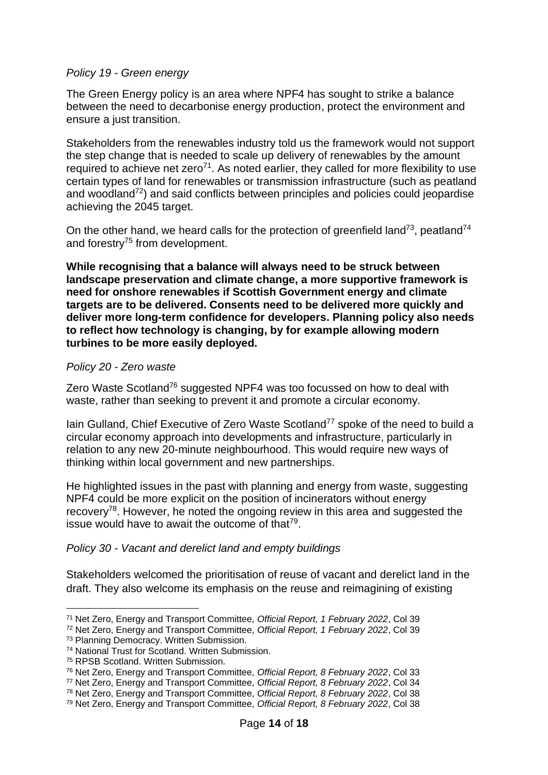### *Policy 19 - Green energy*

The Green Energy policy is an area where NPF4 has sought to strike a balance between the need to decarbonise energy production, protect the environment and ensure a just transition.

Stakeholders from the renewables industry told us the framework would not support the step change that is needed to scale up delivery of renewables by the amount required to achieve net zero<sup>71</sup>. As noted earlier, they called for more flexibility to use certain types of land for renewables or transmission infrastructure (such as peatland and woodland $72$ ) and said conflicts between principles and policies could jeopardise achieving the 2045 target.

On the other hand, we heard calls for the protection of greenfield land<sup>73</sup>, peatland<sup>74</sup> and forestry $75$  from development.

**While recognising that a balance will always need to be struck between landscape preservation and climate change, a more supportive framework is need for onshore renewables if Scottish Government energy and climate targets are to be delivered. Consents need to be delivered more quickly and deliver more long-term confidence for developers. Planning policy also needs to reflect how technology is changing, by for example allowing modern turbines to be more easily deployed.**

### *Policy 20 - Zero waste*

Zero Waste Scotland<sup>76</sup> suggested NPF4 was too focussed on how to deal with waste, rather than seeking to prevent it and promote a circular economy.

Iain Gulland, Chief Executive of Zero Waste Scotland<sup>77</sup> spoke of the need to build a circular economy approach into developments and infrastructure, particularly in relation to any new 20-minute neighbourhood. This would require new ways of thinking within local government and new partnerships.

He highlighted issues in the past with planning and energy from waste, suggesting NPF4 could be more explicit on the position of incinerators without energy recovery<sup>78</sup>. However, he noted the ongoing review in this area and suggested the issue would have to await the outcome of that $79$ .

### *Policy 30 - Vacant and derelict land and empty buildings*

Stakeholders welcomed the prioritisation of reuse of vacant and derelict land in the draft. They also welcome its emphasis on the reuse and reimagining of existing

<sup>71</sup> Net Zero, Energy and Transport Committee, *Official Report, 1 February 2022*, Col 39

<sup>72</sup> Net Zero, Energy and Transport Committee, *Official Report, 1 February 2022*, Col 39

<sup>73</sup> Planning Democracy. Written Submission.

<sup>74</sup> National Trust for Scotland. Written Submission.

<sup>75</sup> RPSB Scotland. Written Submission.

<sup>76</sup> Net Zero, Energy and Transport Committee, *Official Report, 8 February 2022*, Col 33

<sup>77</sup> Net Zero, Energy and Transport Committee, *Official Report, 8 February 2022*, Col 34

<sup>78</sup> Net Zero, Energy and Transport Committee, *Official Report, 8 February 2022*, Col 38

<sup>79</sup> Net Zero, Energy and Transport Committee, *Official Report, 8 February 2022*, Col 38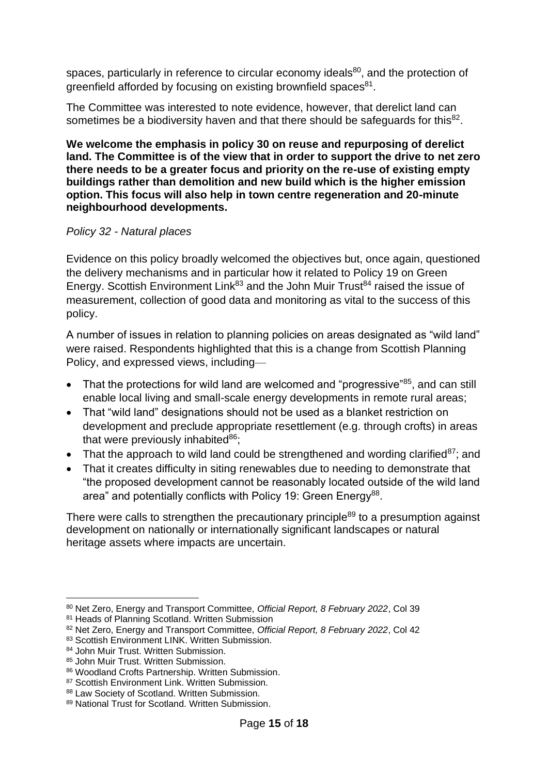spaces, particularly in reference to circular economy ideals<sup>80</sup>, and the protection of greenfield afforded by focusing on existing brownfield spaces<sup>81</sup>.

The Committee was interested to note evidence, however, that derelict land can sometimes be a biodiversity haven and that there should be safeguards for this $^{82}$ .

**We welcome the emphasis in policy 30 on reuse and repurposing of derelict land. The Committee is of the view that in order to support the drive to net zero there needs to be a greater focus and priority on the re-use of existing empty buildings rather than demolition and new build which is the higher emission option. This focus will also help in town centre regeneration and 20-minute neighbourhood developments.**

### *Policy 32 - Natural places*

Evidence on this policy broadly welcomed the objectives but, once again, questioned the delivery mechanisms and in particular how it related to Policy 19 on Green Energy. Scottish Environment Link<sup>83</sup> and the John Muir Trust<sup>84</sup> raised the issue of measurement, collection of good data and monitoring as vital to the success of this policy.

A number of issues in relation to planning policies on areas designated as "wild land" were raised. Respondents highlighted that this is a change from Scottish Planning Policy, and expressed views, including—

- That the protections for wild land are welcomed and "progressive" $85$ , and can still enable local living and small-scale energy developments in remote rural areas;
- That "wild land" designations should not be used as a blanket restriction on development and preclude appropriate resettlement (e.g. through crofts) in areas that were previously inhabited $86$ ;
- That the approach to wild land could be strengthened and wording clarified<sup>87</sup>; and
- That it creates difficulty in siting renewables due to needing to demonstrate that "the proposed development cannot be reasonably located outside of the wild land area" and potentially conflicts with Policy 19: Green Energy<sup>88</sup>.

There were calls to strengthen the precautionary principle $89$  to a presumption against development on nationally or internationally significant landscapes or natural heritage assets where impacts are uncertain.

<sup>80</sup> Net Zero, Energy and Transport Committee, *Official Report, 8 February 2022*, Col 39

<sup>81</sup> Heads of Planning Scotland. Written Submission

<sup>82</sup> Net Zero, Energy and Transport Committee, *Official Report, 8 February 2022*, Col 42

<sup>83</sup> Scottish Environment LINK. Written Submission.

<sup>84</sup> John Muir Trust. Written Submission.

<sup>85</sup> John Muir Trust. Written Submission.

<sup>86</sup> Woodland Crofts Partnership. Written Submission.

<sup>87</sup> Scottish Environment Link. Written Submission.

<sup>88</sup> Law Society of Scotland. Written Submission.

<sup>89</sup> National Trust for Scotland. Written Submission.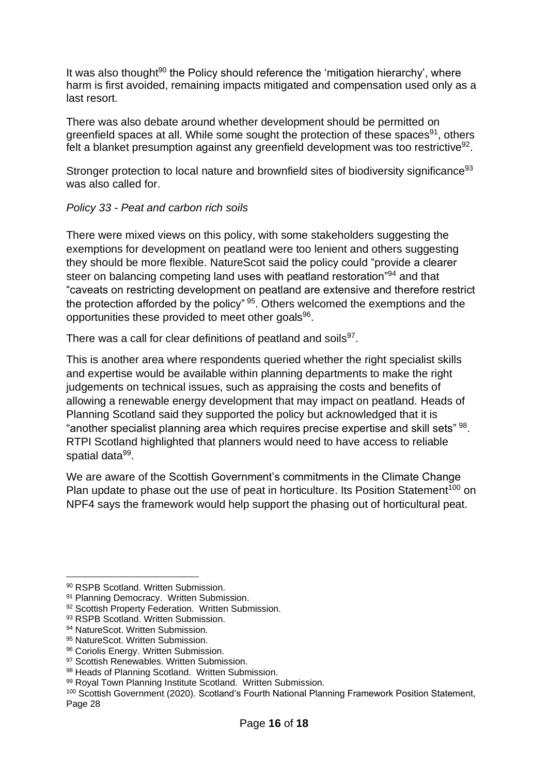It was also thought $90$  the Policy should reference the 'mitigation hierarchy', where harm is first avoided, remaining impacts mitigated and compensation used only as a last resort.

There was also debate around whether development should be permitted on greenfield spaces at all. While some sought the protection of these spaces<sup>91</sup>, others felt a blanket presumption against any greenfield development was too restrictive $92$ .

Stronger protection to local nature and brownfield sites of biodiversity significance<sup>93</sup> was also called for.

## *Policy 33 - Peat and carbon rich soils*

There were mixed views on this policy, with some stakeholders suggesting the exemptions for development on peatland were too lenient and others suggesting they should be more flexible. NatureScot said the policy could "provide a clearer steer on balancing competing land uses with peatland restoration"<sup>94</sup> and that "caveats on restricting development on peatland are extensive and therefore restrict the protection afforded by the policy" <sup>95</sup>. Others welcomed the exemptions and the opportunities these provided to meet other goals<sup>96</sup>.

There was a call for clear definitions of peatland and soils<sup>97</sup>.

This is another area where respondents queried whether the right specialist skills and expertise would be available within planning departments to make the right judgements on technical issues, such as appraising the costs and benefits of allowing a renewable energy development that may impact on peatland. Heads of Planning Scotland said they supported the policy but acknowledged that it is "another specialist planning area which requires precise expertise and skill sets" <sup>98</sup>. RTPI Scotland highlighted that planners would need to have access to reliable spatial data<sup>99</sup>.

We are aware of the Scottish Government's commitments in the Climate Change Plan update to phase out the use of peat in horticulture. Its Position Statement<sup>100</sup> on NPF4 says the framework would help support the phasing out of horticultural peat.

<sup>90</sup> RSPB Scotland. Written Submission.

<sup>91</sup> Planning Democracy. Written Submission.

<sup>92</sup> Scottish Property Federation. Written Submission.

<sup>93</sup> RSPB Scotland. Written Submission.

<sup>94</sup> NatureScot. Written Submission.

<sup>95</sup> NatureScot. Written Submission.

<sup>96</sup> Coriolis Energy. Written Submission.

<sup>97</sup> Scottish Renewables. Written Submission.

<sup>98</sup> Heads of Planning Scotland. Written Submission.

<sup>99</sup> Royal Town Planning Institute Scotland. Written Submission.

<sup>100</sup> Scottish Government (2020). Scotland's Fourth National Planning Framework Position Statement, Page 28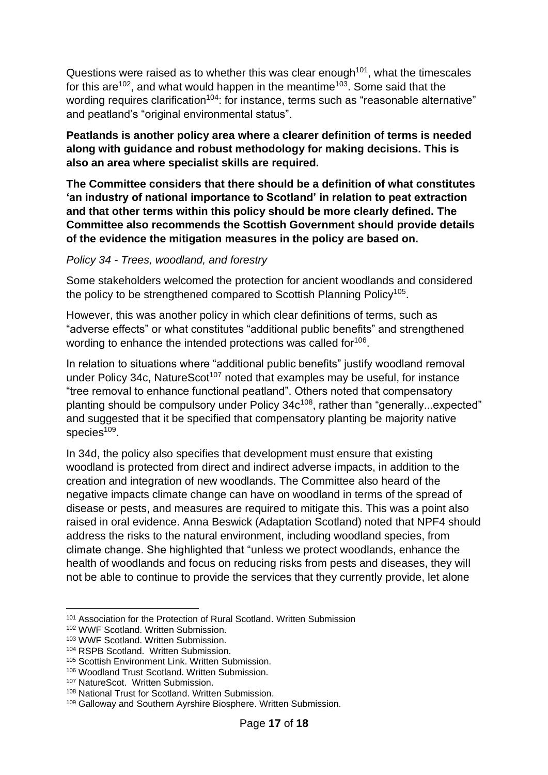Questions were raised as to whether this was clear enough $101$ , what the timescales for this are<sup>102</sup>, and what would happen in the meantime<sup>103</sup>. Some said that the wording requires clarification<sup>104</sup>: for instance, terms such as "reasonable alternative" and peatland's "original environmental status".

**Peatlands is another policy area where a clearer definition of terms is needed along with guidance and robust methodology for making decisions. This is also an area where specialist skills are required.**

**The Committee considers that there should be a definition of what constitutes 'an industry of national importance to Scotland' in relation to peat extraction and that other terms within this policy should be more clearly defined. The Committee also recommends the Scottish Government should provide details of the evidence the mitigation measures in the policy are based on.**

### *Policy 34 - Trees, woodland, and forestry*

Some stakeholders welcomed the protection for ancient woodlands and considered the policy to be strengthened compared to Scottish Planning Policy<sup>105</sup>.

However, this was another policy in which clear definitions of terms, such as "adverse effects" or what constitutes "additional public benefits" and strengthened wording to enhance the intended protections was called for<sup>106</sup>.

In relation to situations where "additional public benefits" justify woodland removal under Policy 34c, NatureScot<sup>107</sup> noted that examples may be useful, for instance "tree removal to enhance functional peatland". Others noted that compensatory planting should be compulsory under Policy 34c<sup>108</sup>, rather than "generally...expected" and suggested that it be specified that compensatory planting be majority native species<sup>109</sup>.

In 34d, the policy also specifies that development must ensure that existing woodland is protected from direct and indirect adverse impacts, in addition to the creation and integration of new woodlands. The Committee also heard of the negative impacts climate change can have on woodland in terms of the spread of disease or pests, and measures are required to mitigate this. This was a point also raised in oral evidence. Anna Beswick (Adaptation Scotland) noted that NPF4 should address the risks to the natural environment, including woodland species, from climate change. She highlighted that "unless we protect woodlands, enhance the health of woodlands and focus on reducing risks from pests and diseases, they will not be able to continue to provide the services that they currently provide, let alone

<sup>101</sup> Association for the Protection of Rural Scotland. Written Submission

<sup>102</sup> WWF Scotland. Written Submission.

<sup>103</sup> WWF Scotland. Written Submission.

<sup>104</sup> RSPB Scotland. Written Submission.

<sup>105</sup> Scottish Environment Link. Written Submission.

<sup>106</sup> Woodland Trust Scotland. Written Submission.

<sup>107</sup> NatureScot. Written Submission.

<sup>108</sup> National Trust for Scotland. Written Submission.

<sup>109</sup> Galloway and Southern Ayrshire Biosphere. Written Submission.